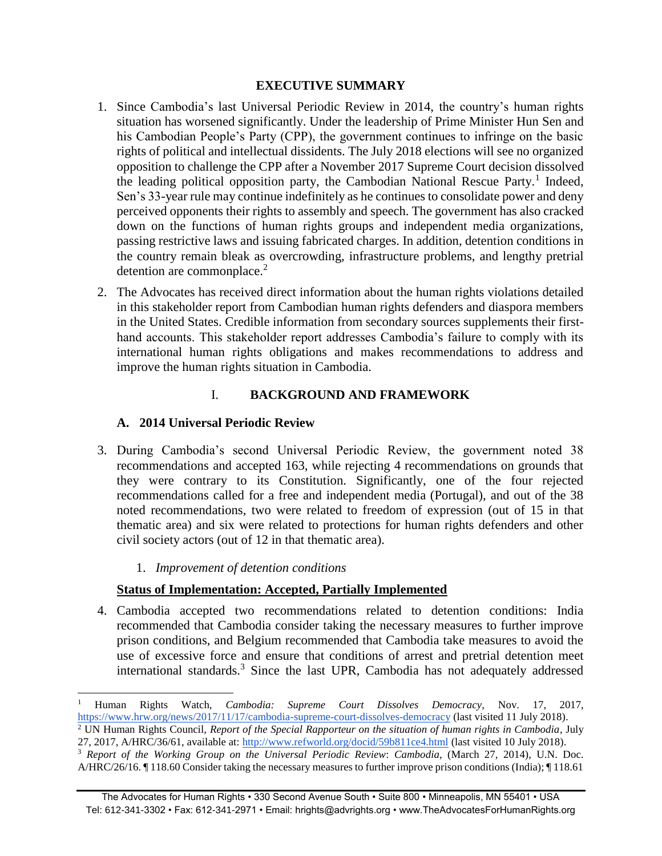## **EXECUTIVE SUMMARY**

- 1. Since Cambodia's last Universal Periodic Review in 2014, the country's human rights situation has worsened significantly. Under the leadership of Prime Minister Hun Sen and his Cambodian People's Party (CPP), the government continues to infringe on the basic rights of political and intellectual dissidents. The July 2018 elections will see no organized opposition to challenge the CPP after a November 2017 Supreme Court decision dissolved the leading political opposition party, the Cambodian National Rescue Party.<sup>1</sup> Indeed, Sen's 33-year rule may continue indefinitely as he continues to consolidate power and deny perceived opponents their rights to assembly and speech. The government has also cracked down on the functions of human rights groups and independent media organizations, passing restrictive laws and issuing fabricated charges. In addition, detention conditions in the country remain bleak as overcrowding, infrastructure problems, and lengthy pretrial detention are commonplace.<sup>2</sup>
- 2. The Advocates has received direct information about the human rights violations detailed in this stakeholder report from Cambodian human rights defenders and diaspora members in the United States. Credible information from secondary sources supplements their firsthand accounts. This stakeholder report addresses Cambodia's failure to comply with its international human rights obligations and makes recommendations to address and improve the human rights situation in Cambodia.

# I. **BACKGROUND AND FRAMEWORK**

# **A. 2014 Universal Periodic Review**

- 3. During Cambodia's second Universal Periodic Review, the government noted 38 recommendations and accepted 163, while rejecting 4 recommendations on grounds that they were contrary to its Constitution. Significantly, one of the four rejected recommendations called for a free and independent media (Portugal), and out of the 38 noted recommendations, two were related to freedom of expression (out of 15 in that thematic area) and six were related to protections for human rights defenders and other civil society actors (out of 12 in that thematic area).
	- 1. *Improvement of detention conditions*

# **Status of Implementation: Accepted, Partially Implemented**

4. Cambodia accepted two recommendations related to detention conditions: India recommended that Cambodia consider taking the necessary measures to further improve prison conditions, and Belgium recommended that Cambodia take measures to avoid the use of excessive force and ensure that conditions of arrest and pretrial detention meet international standards.<sup>3</sup> Since the last UPR, Cambodia has not adequately addressed

 $\overline{a}$ <sup>1</sup> Human Rights Watch, *Cambodia: Supreme Court Dissolves Democracy,* Nov. 17, 2017, <https://www.hrw.org/news/2017/11/17/cambodia-supreme-court-dissolves-democracy> (last visited 11 July 2018).

<sup>2</sup> UN Human Rights Council, *Report of the Special Rapporteur on the situation of human rights in Cambodia*, July 27, 2017, A/HRC/36/61, available at:<http://www.refworld.org/docid/59b811ce4.html> (last visited 10 July 2018).

<sup>3</sup> *Report of the Working Group on the Universal Periodic Review*: *Cambodia*, (March 27, 2014), U.N. Doc. A/HRC/26/16. ¶ 118.60 Consider taking the necessary measures to further improve prison conditions (India); ¶ 118.61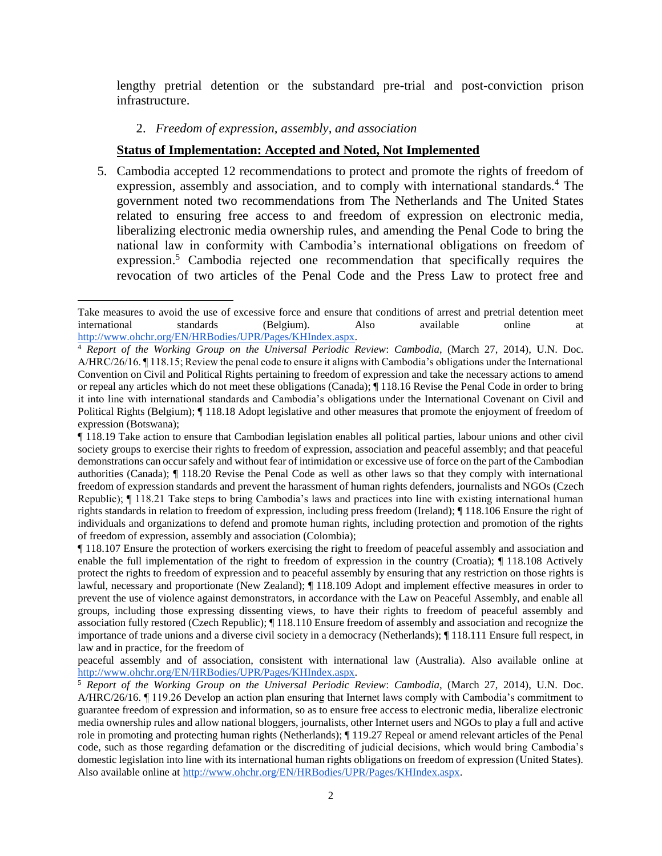lengthy pretrial detention or the substandard pre-trial and post-conviction prison infrastructure.

### 2. *Freedom of expression, assembly, and association*

### **Status of Implementation: Accepted and Noted, Not Implemented**

5. Cambodia accepted 12 recommendations to protect and promote the rights of freedom of expression, assembly and association, and to comply with international standards.<sup>4</sup> The government noted two recommendations from The Netherlands and The United States related to ensuring free access to and freedom of expression on electronic media, liberalizing electronic media ownership rules, and amending the Penal Code to bring the national law in conformity with Cambodia's international obligations on freedom of expression.<sup>5</sup> Cambodia rejected one recommendation that specifically requires the revocation of two articles of the Penal Code and the Press Law to protect free and

Take measures to avoid the use of excessive force and ensure that conditions of arrest and pretrial detention meet international standards (Belgium). Also available online at [http://www.ohchr.org/EN/HRBodies/UPR/Pages/KHIndex.aspx.](http://www.ohchr.org/EN/HRBodies/UPR/Pages/KHIndex.aspx)

<sup>4</sup> *Report of the Working Group on the Universal Periodic Review*: *Cambodia*, (March 27, 2014), U.N. Doc. A/HRC/26/16. ¶ 118.15; Review the penal code to ensure it aligns with Cambodia's obligations under the International Convention on Civil and Political Rights pertaining to freedom of expression and take the necessary actions to amend or repeal any articles which do not meet these obligations (Canada); ¶ 118.16 Revise the Penal Code in order to bring it into line with international standards and Cambodia's obligations under the International Covenant on Civil and Political Rights (Belgium); ¶ 118.18 Adopt legislative and other measures that promote the enjoyment of freedom of expression (Botswana);

<sup>¶ 118.19</sup> Take action to ensure that Cambodian legislation enables all political parties, labour unions and other civil society groups to exercise their rights to freedom of expression, association and peaceful assembly; and that peaceful demonstrations can occur safely and without fear of intimidation or excessive use of force on the part of the Cambodian authorities (Canada); ¶ 118.20 Revise the Penal Code as well as other laws so that they comply with international freedom of expression standards and prevent the harassment of human rights defenders, journalists and NGOs (Czech Republic); ¶ 118.21 Take steps to bring Cambodia's laws and practices into line with existing international human rights standards in relation to freedom of expression, including press freedom (Ireland); ¶ 118.106 Ensure the right of individuals and organizations to defend and promote human rights, including protection and promotion of the rights of freedom of expression, assembly and association (Colombia);

<sup>¶ 118.107</sup> Ensure the protection of workers exercising the right to freedom of peaceful assembly and association and enable the full implementation of the right to freedom of expression in the country (Croatia); ¶ 118.108 Actively protect the rights to freedom of expression and to peaceful assembly by ensuring that any restriction on those rights is lawful, necessary and proportionate (New Zealand); ¶ 118.109 Adopt and implement effective measures in order to prevent the use of violence against demonstrators, in accordance with the Law on Peaceful Assembly, and enable all groups, including those expressing dissenting views, to have their rights to freedom of peaceful assembly and association fully restored (Czech Republic); ¶ 118.110 Ensure freedom of assembly and association and recognize the importance of trade unions and a diverse civil society in a democracy (Netherlands); ¶ 118.111 Ensure full respect, in law and in practice, for the freedom of

peaceful assembly and of association, consistent with international law (Australia). Also available online at [http://www.ohchr.org/EN/HRBodies/UPR/Pages/KHIndex.aspx.](http://www.ohchr.org/EN/HRBodies/UPR/Pages/KHIndex.aspx)

<sup>5</sup> *Report of the Working Group on the Universal Periodic Review*: *Cambodia*, (March 27, 2014), U.N. Doc. A/HRC/26/16. ¶ 119.26 Develop an action plan ensuring that Internet laws comply with Cambodia's commitment to guarantee freedom of expression and information, so as to ensure free access to electronic media, liberalize electronic media ownership rules and allow national bloggers, journalists, other Internet users and NGOs to play a full and active role in promoting and protecting human rights (Netherlands); ¶ 119.27 Repeal or amend relevant articles of the Penal code, such as those regarding defamation or the discrediting of judicial decisions, which would bring Cambodia's domestic legislation into line with its international human rights obligations on freedom of expression (United States). Also available online at [http://www.ohchr.org/EN/HRBodies/UPR/Pages/KHIndex.aspx.](http://www.ohchr.org/EN/HRBodies/UPR/Pages/KHIndex.aspx)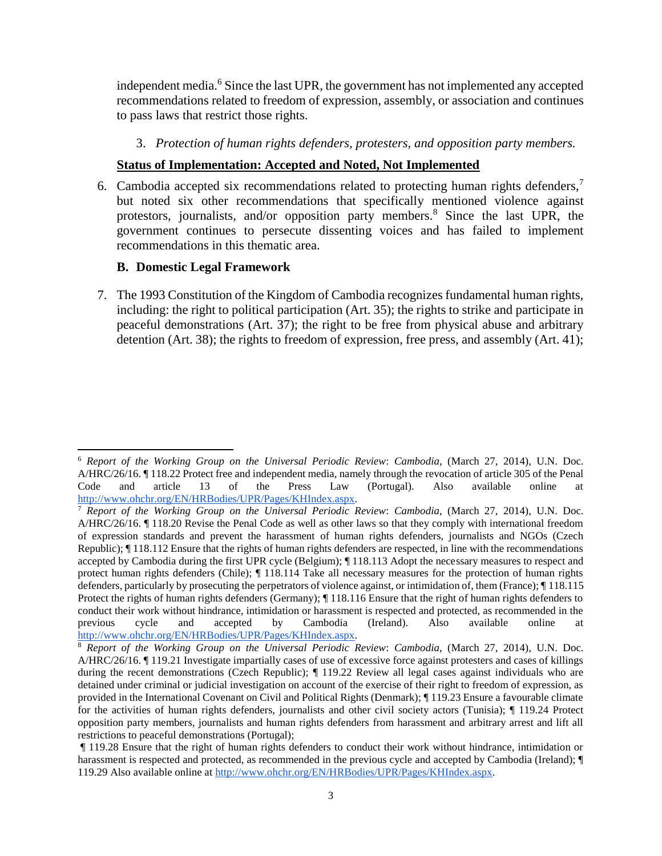independent media.<sup>6</sup> Since the last UPR, the government has not implemented any accepted recommendations related to freedom of expression, assembly, or association and continues to pass laws that restrict those rights.

#### 3. *Protection of human rights defenders, protesters, and opposition party members.*

#### **Status of Implementation: Accepted and Noted, Not Implemented**

6. Cambodia accepted six recommendations related to protecting human rights defenders,<sup>7</sup> but noted six other recommendations that specifically mentioned violence against protestors, journalists, and/or opposition party members.<sup>8</sup> Since the last UPR, the government continues to persecute dissenting voices and has failed to implement recommendations in this thematic area.

#### **B. Domestic Legal Framework**

7. The 1993 Constitution of the Kingdom of Cambodia recognizes fundamental human rights, including: the right to political participation (Art. 35); the rights to strike and participate in peaceful demonstrations (Art. 37); the right to be free from physical abuse and arbitrary detention (Art. 38); the rights to freedom of expression, free press, and assembly (Art. 41);

<sup>6</sup> *Report of the Working Group on the Universal Periodic Review*: *Cambodia*, (March 27, 2014), U.N. Doc. A/HRC/26/16. ¶ 118.22 Protect free and independent media, namely through the revocation of article 305 of the Penal Code and article 13 of the Press Law (Portugal). Also available online at [http://www.ohchr.org/EN/HRBodies/UPR/Pages/KHIndex.aspx.](http://www.ohchr.org/EN/HRBodies/UPR/Pages/KHIndex.aspx)

<sup>7</sup> *Report of the Working Group on the Universal Periodic Review*: *Cambodia*, (March 27, 2014), U.N. Doc. A/HRC/26/16. ¶ 118.20 Revise the Penal Code as well as other laws so that they comply with international freedom of expression standards and prevent the harassment of human rights defenders, journalists and NGOs (Czech Republic); ¶ 118.112 Ensure that the rights of human rights defenders are respected, in line with the recommendations accepted by Cambodia during the first UPR cycle (Belgium); ¶ 118.113 Adopt the necessary measures to respect and protect human rights defenders (Chile); ¶ 118.114 Take all necessary measures for the protection of human rights defenders, particularly by prosecuting the perpetrators of violence against, or intimidation of, them (France); ¶ 118.115 Protect the rights of human rights defenders (Germany); ¶ 118.116 Ensure that the right of human rights defenders to conduct their work without hindrance, intimidation or harassment is respected and protected, as recommended in the previous cycle and accepted by Cambodia (Ireland). Also available online at [http://www.ohchr.org/EN/HRBodies/UPR/Pages/KHIndex.aspx.](http://www.ohchr.org/EN/HRBodies/UPR/Pages/KHIndex.aspx)

<sup>8</sup> *Report of the Working Group on the Universal Periodic Review*: *Cambodia*, (March 27, 2014), U.N. Doc. A/HRC/26/16. ¶ 119.21 Investigate impartially cases of use of excessive force against protesters and cases of killings during the recent demonstrations (Czech Republic);  $\P$  119.22 Review all legal cases against individuals who are detained under criminal or judicial investigation on account of the exercise of their right to freedom of expression, as provided in the International Covenant on Civil and Political Rights (Denmark); ¶ 119.23 Ensure a favourable climate for the activities of human rights defenders, journalists and other civil society actors (Tunisia); ¶ 119.24 Protect opposition party members, journalists and human rights defenders from harassment and arbitrary arrest and lift all restrictions to peaceful demonstrations (Portugal);

<sup>¶ 119.28</sup> Ensure that the right of human rights defenders to conduct their work without hindrance, intimidation or harassment is respected and protected, as recommended in the previous cycle and accepted by Cambodia (Ireland);  $\P$ 119.29 Also available online at [http://www.ohchr.org/EN/HRBodies/UPR/Pages/KHIndex.aspx.](http://www.ohchr.org/EN/HRBodies/UPR/Pages/KHIndex.aspx)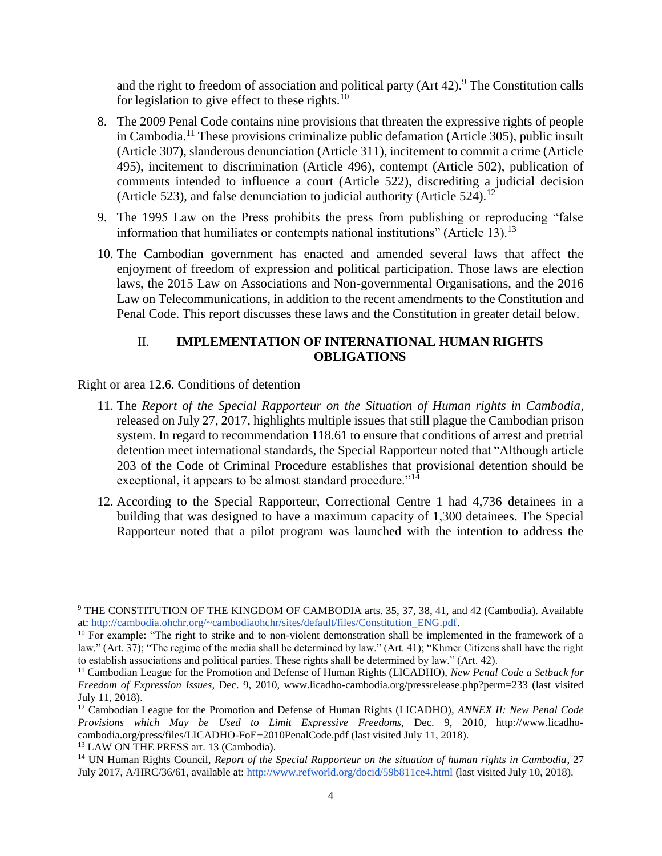and the right to freedom of association and political party  $(Art 42)$ .<sup>9</sup> The Constitution calls for legislation to give effect to these rights.<sup>10</sup>

- 8. The 2009 Penal Code contains nine provisions that threaten the expressive rights of people in Cambodia.<sup>11</sup> These provisions criminalize public defamation (Article 305), public insult (Article 307), slanderous denunciation (Article 311), incitement to commit a crime (Article 495), incitement to discrimination (Article 496), contempt (Article 502), publication of comments intended to influence a court (Article 522), discrediting a judicial decision (Article 523), and false denunciation to judicial authority (Article 524).<sup>12</sup>
- 9. The 1995 Law on the Press prohibits the press from publishing or reproducing "false information that humiliates or contempts national institutions" (Article 13).<sup>13</sup>
- 10. The Cambodian government has enacted and amended several laws that affect the enjoyment of freedom of expression and political participation. Those laws are election laws, the 2015 Law on Associations and Non-governmental Organisations, and the 2016 Law on Telecommunications, in addition to the recent amendments to the Constitution and Penal Code. This report discusses these laws and the Constitution in greater detail below.

## II. **IMPLEMENTATION OF INTERNATIONAL HUMAN RIGHTS OBLIGATIONS**

#### Right or area 12.6. Conditions of detention

- 11. The *Report of the Special Rapporteur on the Situation of Human rights in Cambodia*, released on July 27, 2017, highlights multiple issues that still plague the Cambodian prison system. In regard to recommendation 118.61 to ensure that conditions of arrest and pretrial detention meet international standards, the Special Rapporteur noted that "Although article 203 of the Code of Criminal Procedure establishes that provisional detention should be exceptional, it appears to be almost standard procedure."<sup>14</sup>
- 12. According to the Special Rapporteur, Correctional Centre 1 had 4,736 detainees in a building that was designed to have a maximum capacity of 1,300 detainees. The Special Rapporteur noted that a pilot program was launched with the intention to address the

<sup>&</sup>lt;sup>9</sup> THE CONSTITUTION OF THE KINGDOM OF CAMBODIA arts. 35, 37, 38, 41, and 42 (Cambodia). Available at: [http://cambodia.ohchr.org/~cambodiaohchr/sites/default/files/Constitution\\_ENG.pdf.](http://cambodia.ohchr.org/~cambodiaohchr/sites/default/files/Constitution_ENG.pdf)

 $10$  For example: "The right to strike and to non-violent demonstration shall be implemented in the framework of a law." (Art. 37); "The regime of the media shall be determined by law." (Art. 41); "Khmer Citizens shall have the right to establish associations and political parties. These rights shall be determined by law." (Art. 42).

<sup>11</sup> Cambodian League for the Promotion and Defense of Human Rights (LICADHO), *New Penal Code a Setback for Freedom of Expression Issues*, Dec. 9, 2010, www.licadho-cambodia.org/pressrelease.php?perm=233 (last visited July 11, 2018).

<sup>12</sup> Cambodian League for the Promotion and Defense of Human Rights (LICADHO), *ANNEX II: New Penal Code Provisions which May be Used to Limit Expressive Freedoms,* Dec. 9, 2010, http://www.licadhocambodia.org/press/files/LICADHO-FoE+2010PenalCode.pdf (last visited July 11, 2018). <sup>13</sup> LAW ON THE PRESS art. 13 (Cambodia).

<sup>14</sup> UN Human Rights Council, *Report of the Special Rapporteur on the situation of human rights in Cambodia*, 27 July 2017, A/HRC/36/61, available at:<http://www.refworld.org/docid/59b811ce4.html> (last visited July 10, 2018).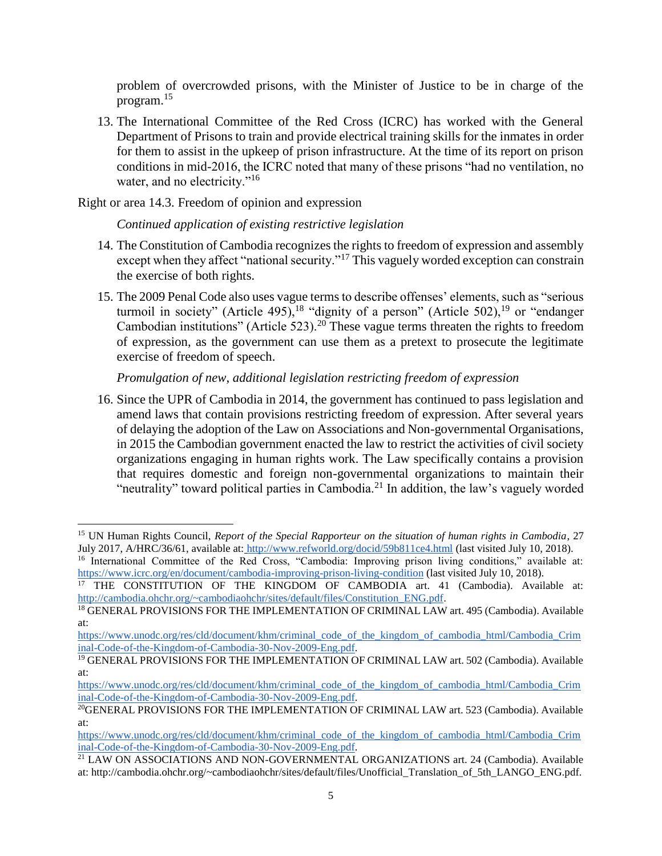problem of overcrowded prisons, with the Minister of Justice to be in charge of the program.<sup>15</sup>

13. The International Committee of the Red Cross (ICRC) has worked with the General Department of Prisons to train and provide electrical training skills for the inmates in order for them to assist in the upkeep of prison infrastructure. At the time of its report on prison conditions in mid-2016, the ICRC noted that many of these prisons "had no ventilation, no water, and no electricity."<sup>16</sup>

Right or area 14.3. Freedom of opinion and expression

## *Continued application of existing restrictive legislation*

- 14. The Constitution of Cambodia recognizes the rights to freedom of expression and assembly except when they affect "national security."<sup>17</sup> This vaguely worded exception can constrain the exercise of both rights.
- 15. The 2009 Penal Code also uses vague terms to describe offenses' elements, such as "serious turmoil in society" (Article 495),<sup>18</sup> "dignity of a person" (Article 502),<sup>19</sup> or "endanger" Cambodian institutions" (Article 523).<sup>20</sup> These vague terms threaten the rights to freedom of expression, as the government can use them as a pretext to prosecute the legitimate exercise of freedom of speech.

## *Promulgation of new, additional legislation restricting freedom of expression*

16. Since the UPR of Cambodia in 2014, the government has continued to pass legislation and amend laws that contain provisions restricting freedom of expression. After several years of delaying the adoption of the Law on Associations and Non-governmental Organisations, in 2015 the Cambodian government enacted the law to restrict the activities of civil society organizations engaging in human rights work. The Law specifically contains a provision that requires domestic and foreign non-governmental organizations to maintain their "neutrality" toward political parties in Cambodia.<sup>21</sup> In addition, the law's vaguely worded

<sup>15</sup> UN Human Rights Council, *Report of the Special Rapporteur on the situation of human rights in Cambodia*, 27 July 2017, A/HRC/36/61, available at: <http://www.refworld.org/docid/59b811ce4.html> (last visited July 10, 2018).

<sup>&</sup>lt;sup>16</sup> International Committee of the Red Cross, "Cambodia: Improving prison living conditions," available at: <https://www.icrc.org/en/document/cambodia-improving-prison-living-condition> (last visited July 10, 2018).

<sup>&</sup>lt;sup>17</sup> THE CONSTITUTION OF THE KINGDOM OF CAMBODIA art. 41 (Cambodia). Available at: [http://cambodia.ohchr.org/~cambodiaohchr/sites/default/files/Constitution\\_ENG.pdf.](http://cambodia.ohchr.org/~cambodiaohchr/sites/default/files/Constitution_ENG.pdf)

<sup>&</sup>lt;sup>18</sup> GENERAL PROVISIONS FOR THE IMPLEMENTATION OF CRIMINAL LAW art. 495 (Cambodia). Available at:

[https://www.unodc.org/res/cld/document/khm/criminal\\_code\\_of\\_the\\_kingdom\\_of\\_cambodia\\_html/Cambodia\\_Crim](https://www.unodc.org/res/cld/document/khm/criminal_code_of_the_kingdom_of_cambodia_html/Cambodia_Criminal-Code-of-the-Kingdom-of-Cambodia-30-Nov-2009-Eng.pdf) [inal-Code-of-the-Kingdom-of-Cambodia-30-Nov-2009-Eng.pdf.](https://www.unodc.org/res/cld/document/khm/criminal_code_of_the_kingdom_of_cambodia_html/Cambodia_Criminal-Code-of-the-Kingdom-of-Cambodia-30-Nov-2009-Eng.pdf) 

<sup>&</sup>lt;sup>19</sup> GENERAL PROVISIONS FOR THE IMPLEMENTATION OF CRIMINAL LAW art. 502 (Cambodia). Available at:

[https://www.unodc.org/res/cld/document/khm/criminal\\_code\\_of\\_the\\_kingdom\\_of\\_cambodia\\_html/Cambodia\\_Crim](https://www.unodc.org/res/cld/document/khm/criminal_code_of_the_kingdom_of_cambodia_html/Cambodia_Criminal-Code-of-the-Kingdom-of-Cambodia-30-Nov-2009-Eng.pdf) [inal-Code-of-the-Kingdom-of-Cambodia-30-Nov-2009-Eng.pdf.](https://www.unodc.org/res/cld/document/khm/criminal_code_of_the_kingdom_of_cambodia_html/Cambodia_Criminal-Code-of-the-Kingdom-of-Cambodia-30-Nov-2009-Eng.pdf) 

<sup>20</sup>GENERAL PROVISIONS FOR THE IMPLEMENTATION OF CRIMINAL LAW art. 523 (Cambodia). Available at:

[https://www.unodc.org/res/cld/document/khm/criminal\\_code\\_of\\_the\\_kingdom\\_of\\_cambodia\\_html/Cambodia\\_Crim](https://www.unodc.org/res/cld/document/khm/criminal_code_of_the_kingdom_of_cambodia_html/Cambodia_Criminal-Code-of-the-Kingdom-of-Cambodia-30-Nov-2009-Eng.pdf) [inal-Code-of-the-Kingdom-of-Cambodia-30-Nov-2009-Eng.pdf.](https://www.unodc.org/res/cld/document/khm/criminal_code_of_the_kingdom_of_cambodia_html/Cambodia_Criminal-Code-of-the-Kingdom-of-Cambodia-30-Nov-2009-Eng.pdf) 

<sup>&</sup>lt;sup>21</sup> LAW ON ASSOCIATIONS AND NON-GOVERNMENTAL ORGANIZATIONS art. 24 (Cambodia). Available at: http://cambodia.ohchr.org/~cambodiaohchr/sites/default/files/Unofficial\_Translation\_of\_5th\_LANGO\_ENG.pdf.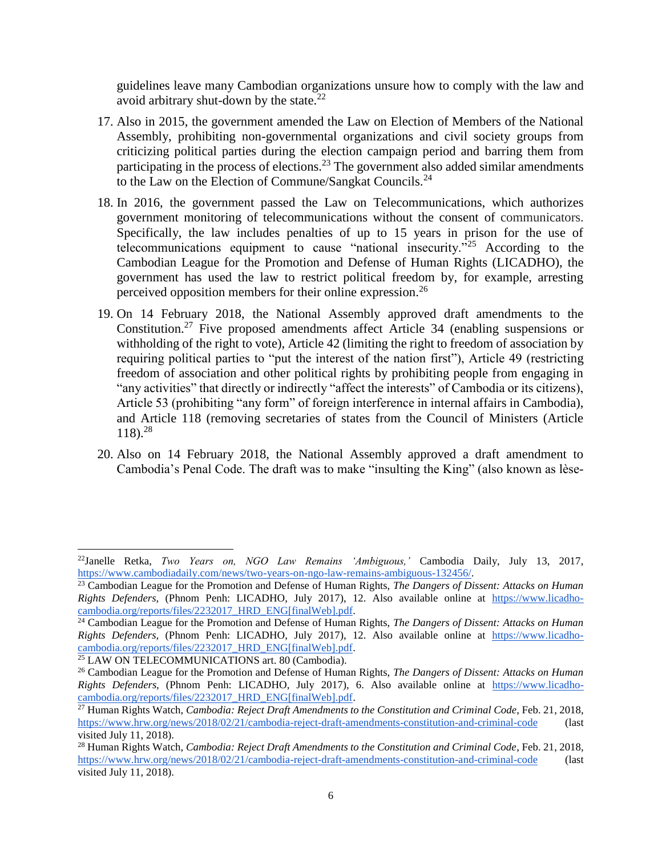guidelines leave many Cambodian organizations unsure how to comply with the law and avoid arbitrary shut-down by the state. $^{22}$ 

- 17. Also in 2015, the government amended the Law on Election of Members of the National Assembly, prohibiting non-governmental organizations and civil society groups from criticizing political parties during the election campaign period and barring them from participating in the process of elections.<sup>23</sup> The government also added similar amendments to the Law on the Election of Commune/Sangkat Councils.<sup>24</sup>
- 18. In 2016, the government passed the Law on Telecommunications, which authorizes government monitoring of telecommunications without the consent of communicators. Specifically, the law includes penalties of up to 15 years in prison for the use of telecommunications equipment to cause "national insecurity."<sup>25</sup> According to the Cambodian League for the Promotion and Defense of Human Rights (LICADHO), the government has used the law to restrict political freedom by, for example, arresting perceived opposition members for their online expression.<sup>26</sup>
- 19. On 14 February 2018, the National Assembly approved draft amendments to the Constitution.<sup>27</sup> Five proposed amendments affect Article 34 (enabling suspensions or withholding of the right to vote), Article 42 (limiting the right to freedom of association by requiring political parties to "put the interest of the nation first"), Article 49 (restricting freedom of association and other political rights by prohibiting people from engaging in "any activities" that directly or indirectly "affect the interests" of Cambodia or its citizens), Article 53 (prohibiting "any form" of foreign interference in internal affairs in Cambodia), and Article 118 (removing secretaries of states from the Council of Ministers (Article 118).<sup>28</sup>
- 20. Also on 14 February 2018, the National Assembly approved a draft amendment to Cambodia's Penal Code. The draft was to make "insulting the King" (also known as lèse-

 $\overline{a}$ 

<sup>22</sup>Janelle Retka, *Two Years on, NGO Law Remains 'Ambiguous,'* Cambodia Daily, July 13, 2017, [https://www.cambodiadaily.com/news/two-years-on-ngo-law-remains-ambiguous-132456/.](https://www.cambodiadaily.com/news/two-years-on-ngo-law-remains-ambiguous-132456/)

<sup>23</sup> Cambodian League for the Promotion and Defense of Human Rights, *The Dangers of Dissent: Attacks on Human Rights Defenders,* (Phnom Penh: LICADHO, July 2017), 12. Also available online at [https://www.licadho](about:blank)[cambodia.org/reports/files/2232017\\_HRD\\_ENG\[finalWeb\].pdf.](about:blank) 

<sup>24</sup> Cambodian League for the Promotion and Defense of Human Rights, *The Dangers of Dissent: Attacks on Human Rights Defenders,* (Phnom Penh: LICADHO, July 2017), 12. Also available online at [https://www.licadho](about:blank)[cambodia.org/reports/files/2232017\\_HRD\\_ENG\[finalWeb\].pdf.](about:blank) 

<sup>&</sup>lt;sup>25</sup> LAW ON TELECOMMUNICATIONS art. 80 (Cambodia).

<sup>26</sup> Cambodian League for the Promotion and Defense of Human Rights, *The Dangers of Dissent: Attacks on Human Rights Defenders,* (Phnom Penh: LICADHO, July 2017), 6. Also available online at [https://www.licadho](about:blank)[cambodia.org/reports/files/2232017\\_HRD\\_ENG\[finalWeb\].pdf.](about:blank) 

<sup>27</sup> Human Rights Watch, *Cambodia: Reject Draft Amendments to the Constitution and Criminal Code*, Feb. 21, 2018, <https://www.hrw.org/news/2018/02/21/cambodia-reject-draft-amendments-constitution-and-criminal-code> (last visited July 11, 2018).

<sup>28</sup> Human Rights Watch, *Cambodia: Reject Draft Amendments to the Constitution and Criminal Code*, Feb. 21, 2018, <https://www.hrw.org/news/2018/02/21/cambodia-reject-draft-amendments-constitution-and-criminal-code> (last visited July 11, 2018).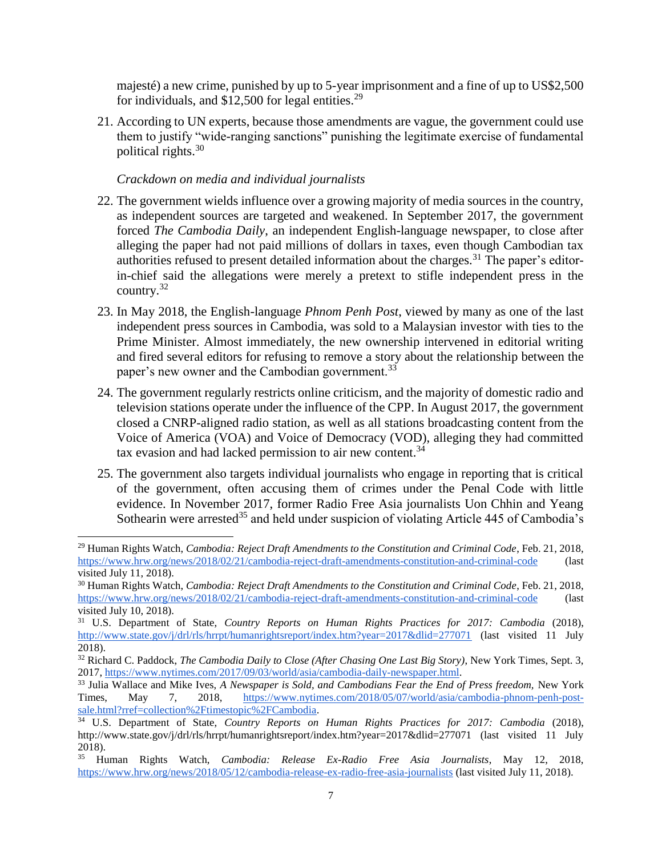majesté) a new crime, punished by up to 5-year imprisonment and a fine of up to US\$2,500 for individuals, and  $$12,500$  for legal entities.<sup>29</sup>

21. According to UN experts, because those amendments are vague, the government could use them to justify "wide-ranging sanctions" punishing the legitimate exercise of fundamental political rights.<sup>30</sup>

## *Crackdown on media and individual journalists*

- 22. The government wields influence over a growing majority of media sources in the country, as independent sources are targeted and weakened. In September 2017, the government forced *The Cambodia Daily*, an independent English-language newspaper, to close after alleging the paper had not paid millions of dollars in taxes, even though Cambodian tax authorities refused to present detailed information about the charges.<sup>31</sup> The paper's editorin-chief said the allegations were merely a pretext to stifle independent press in the country.<sup>32</sup>
- 23. In May 2018, the English-language *Phnom Penh Post*, viewed by many as one of the last independent press sources in Cambodia, was sold to a Malaysian investor with ties to the Prime Minister. Almost immediately, the new ownership intervened in editorial writing and fired several editors for refusing to remove a story about the relationship between the paper's new owner and the Cambodian government.<sup>33</sup>
- 24. The government regularly restricts online criticism, and the majority of domestic radio and television stations operate under the influence of the CPP. In August 2017, the government closed a CNRP-aligned radio station, as well as all stations broadcasting content from the Voice of America (VOA) and Voice of Democracy (VOD), alleging they had committed tax evasion and had lacked permission to air new content.<sup>34</sup>
- 25. The government also targets individual journalists who engage in reporting that is critical of the government, often accusing them of crimes under the Penal Code with little evidence. In November 2017, former Radio Free Asia journalists Uon Chhin and Yeang Sothearin were arrested<sup>35</sup> and held under suspicion of violating Article 445 of Cambodia's

<sup>29</sup> Human Rights Watch, *Cambodia: Reject Draft Amendments to the Constitution and Criminal Code*, Feb. 21, 2018, <https://www.hrw.org/news/2018/02/21/cambodia-reject-draft-amendments-constitution-and-criminal-code> (last visited July 11, 2018).

<sup>30</sup> Human Rights Watch, *Cambodia: Reject Draft Amendments to the Constitution and Criminal Code*, Feb. 21, 2018, <https://www.hrw.org/news/2018/02/21/cambodia-reject-draft-amendments-constitution-and-criminal-code> (last visited July 10, 2018).

<sup>31</sup> U.S. Department of State, *Country Reports on Human Rights Practices for 2017: Cambodia* (2018), <http://www.state.gov/j/drl/rls/hrrpt/humanrightsreport/index.htm?year=2017&dlid=277071> (last visited 11 July 2018).

<sup>32</sup> Richard C. Paddock, *The Cambodia Daily to Close (After Chasing One Last Big Story)*, New York Times, Sept. 3, 2017, [https://www.nytimes.com/2017/09/03/world/asia/cambodia-daily-newspaper.html.](https://www.nytimes.com/2017/09/03/world/asia/cambodia-daily-newspaper.html)

<sup>&</sup>lt;sup>33</sup> Julia Wallace and Mike Ives, *A Newspaper is Sold, and Cambodians Fear the End of Press freedom*, New York Times, May 7, 2018, https://www.nytimes.com/2018/05/07/world/asia/cambodia-phnom-penh-post-Times, May 7, 2018, [https://www.nytimes.com/2018/05/07/world/asia/cambodia-phnom-penh-post](https://www.nytimes.com/2018/05/07/world/asia/cambodia-phnom-penh-post-sale.html?rref=collection%2Ftimestopic%2FCambodia)[sale.html?rref=collection%2Ftimestopic%2FCambodia.](https://www.nytimes.com/2018/05/07/world/asia/cambodia-phnom-penh-post-sale.html?rref=collection%2Ftimestopic%2FCambodia)

<sup>&</sup>lt;sup>34</sup> U.S. Department of State, *Country Reports on Human Rights Practices for 2017: Cambodia* (2018), http://www.state.gov/j/drl/rls/hrrpt/humanrightsreport/index.htm?year=2017&dlid=277071 (last visited 11 July  $2018$ ).<br><sup>35</sup> H<sub>1</sub>

<sup>35</sup> Human Rights Watch, *Cambodia: Release Ex-Radio Free Asia Journalists*, May 12, 2018, <https://www.hrw.org/news/2018/05/12/cambodia-release-ex-radio-free-asia-journalists> (last visited July 11, 2018).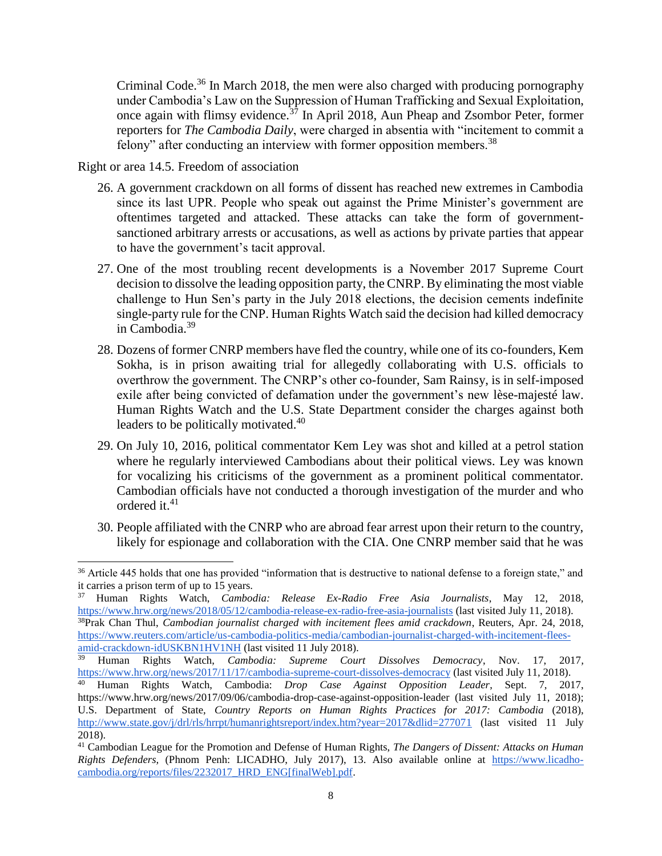Criminal Code.<sup>36</sup> In March 2018, the men were also charged with producing pornography under Cambodia's Law on the Suppression of Human Trafficking and Sexual Exploitation, once again with flimsy evidence.<sup>37</sup> In April 2018, Aun Pheap and Zsombor Peter, former reporters for *The Cambodia Daily*, were charged in absentia with "incitement to commit a felony" after conducting an interview with former opposition members.<sup>38</sup>

Right or area 14.5. Freedom of association

 $\overline{a}$ 

- 26. A government crackdown on all forms of dissent has reached new extremes in Cambodia since its last UPR. People who speak out against the Prime Minister's government are oftentimes targeted and attacked. These attacks can take the form of governmentsanctioned arbitrary arrests or accusations, as well as actions by private parties that appear to have the government's tacit approval.
- 27. One of the most troubling recent developments is a November 2017 Supreme Court decision to dissolve the leading opposition party, the CNRP. By eliminating the most viable challenge to Hun Sen's party in the July 2018 elections, the decision cements indefinite single-party rule for the CNP. Human Rights Watch said the decision had killed democracy in Cambodia.<sup>39</sup>
- 28. Dozens of former CNRP members have fled the country, while one of its co-founders, Kem Sokha, is in prison awaiting trial for allegedly collaborating with U.S. officials to overthrow the government. The CNRP's other co-founder, Sam Rainsy, is in self-imposed exile after being convicted of defamation under the government's new lèse-majesté law. Human Rights Watch and the U.S. State Department consider the charges against both leaders to be politically motivated.<sup>40</sup>
- 29. On July 10, 2016, political commentator Kem Ley was shot and killed at a petrol station where he regularly interviewed Cambodians about their political views. Ley was known for vocalizing his criticisms of the government as a prominent political commentator. Cambodian officials have not conducted a thorough investigation of the murder and who ordered it.<sup>41</sup>
- 30. People affiliated with the CNRP who are abroad fear arrest upon their return to the country, likely for espionage and collaboration with the CIA. One CNRP member said that he was

<sup>&</sup>lt;sup>36</sup> Article 445 holds that one has provided "information that is destructive to national defense to a foreign state," and it carries a prison term of up to 15 years.

<sup>37</sup> Human Rights Watch, *Cambodia: Release Ex-Radio Free Asia Journalists*, May 12, 2018, <https://www.hrw.org/news/2018/05/12/cambodia-release-ex-radio-free-asia-journalists> (last visited July 11, 2018).

<sup>38</sup>Prak Chan Thul, *Cambodian journalist charged with incitement flees amid crackdown*, Reuters, Apr. 24, 2018, [https://www.reuters.com/article/us-cambodia-politics-media/cambodian-journalist-charged-with-incitement-flees](https://www.reuters.com/article/us-cambodia-politics-media/cambodian-journalist-charged-with-incitement-flees-amid-crackdown-idUSKBN1HV1NH)[amid-crackdown-idUSKBN1HV1NH](https://www.reuters.com/article/us-cambodia-politics-media/cambodian-journalist-charged-with-incitement-flees-amid-crackdown-idUSKBN1HV1NH) (last visited 11 July 2018).

<sup>39</sup> Human Rights Watch, *Cambodia: Supreme Court Dissolves Democracy*, Nov. 17, 2017*,*  <https://www.hrw.org/news/2017/11/17/cambodia-supreme-court-dissolves-democracy> (last visited July 11, 2018).

<sup>40</sup> Human Rights Watch, Cambodia: *Drop Case Against Opposition Leader*, Sept. 7, 2017, https://www.hrw.org/news/2017/09/06/cambodia-drop-case-against-opposition-leader (last visited July 11, 2018); U.S. Department of State, *Country Reports on Human Rights Practices for 2017: Cambodia* (2018), <http://www.state.gov/j/drl/rls/hrrpt/humanrightsreport/index.htm?year=2017&dlid=277071> (last visited 11 July 2018).

<sup>41</sup> Cambodian League for the Promotion and Defense of Human Rights, *The Dangers of Dissent: Attacks on Human Rights Defenders,* (Phnom Penh: LICADHO, July 2017), 13. Also available online at [https://www.licadho](about:blank)[cambodia.org/reports/files/2232017\\_HRD\\_ENG\[finalWeb\].pdf.](about:blank)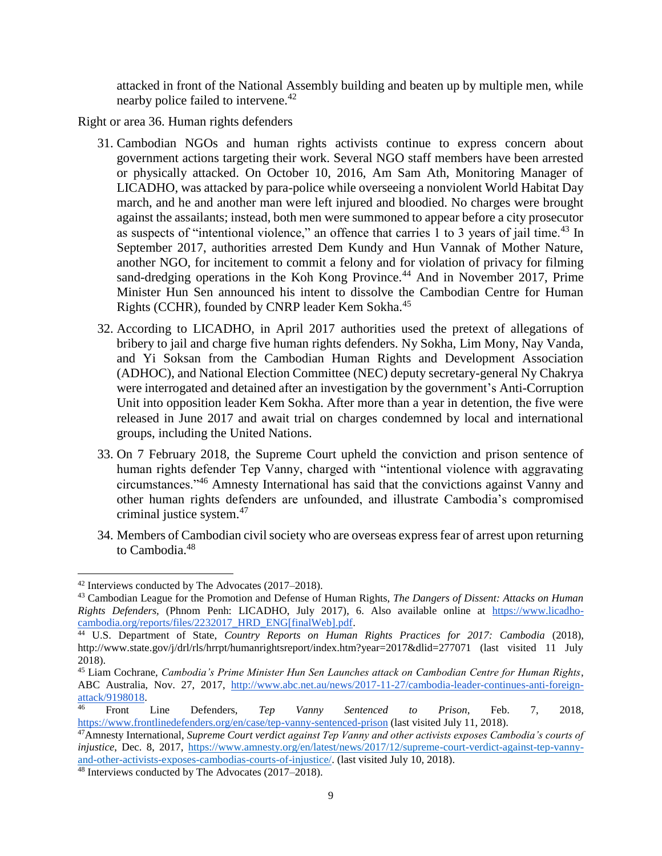attacked in front of the National Assembly building and beaten up by multiple men, while nearby police failed to intervene.<sup>42</sup>

Right or area 36. Human rights defenders

- 31. Cambodian NGOs and human rights activists continue to express concern about government actions targeting their work. Several NGO staff members have been arrested or physically attacked. On October 10, 2016, Am Sam Ath, Monitoring Manager of LICADHO, was attacked by para-police while overseeing a nonviolent World Habitat Day march, and he and another man were left injured and bloodied. No charges were brought against the assailants; instead, both men were summoned to appear before a city prosecutor as suspects of "intentional violence," an offence that carries 1 to 3 years of jail time.<sup>43</sup> In September 2017, authorities arrested Dem Kundy and Hun Vannak of Mother Nature, another NGO, for incitement to commit a felony and for violation of privacy for filming sand-dredging operations in the Koh Kong Province.<sup>44</sup> And in November 2017, Prime Minister Hun Sen announced his intent to dissolve the Cambodian Centre for Human Rights (CCHR), founded by CNRP leader Kem Sokha.<sup>45</sup>
- 32. According to LICADHO, in April 2017 authorities used the pretext of allegations of bribery to jail and charge five human rights defenders. Ny Sokha, Lim Mony, Nay Vanda, and Yi Soksan from the Cambodian Human Rights and Development Association (ADHOC), and National Election Committee (NEC) deputy secretary-general Ny Chakrya were interrogated and detained after an investigation by the government's Anti-Corruption Unit into opposition leader Kem Sokha. After more than a year in detention, the five were released in June 2017 and await trial on charges condemned by local and international groups, including the United Nations.
- 33. On 7 February 2018, the Supreme Court upheld the conviction and prison sentence of human rights defender Tep Vanny, charged with "intentional violence with aggravating circumstances."<sup>46</sup> Amnesty International has said that the convictions against Vanny and other human rights defenders are unfounded, and illustrate Cambodia's compromised criminal justice system.<sup>47</sup>
- 34. Members of Cambodian civil society who are overseas express fear of arrest upon returning to Cambodia $^{48}$

 <sup>42</sup> Interviews conducted by The Advocates (2017–2018).

<sup>43</sup> Cambodian League for the Promotion and Defense of Human Rights, *The Dangers of Dissent: Attacks on Human Rights Defenders,* (Phnom Penh: LICADHO, July 2017), 6. Also available online at [https://www.licadho](about:blank)[cambodia.org/reports/files/2232017\\_HRD\\_ENG\[finalWeb\].pdf.](about:blank)

<sup>44</sup> U.S. Department of State, *Country Reports on Human Rights Practices for 2017: Cambodia* (2018), http://www.state.gov/j/drl/rls/hrrpt/humanrightsreport/index.htm?year=2017&dlid=277071 (last visited 11 July 2018).

<sup>45</sup> Liam Cochrane, *Cambodia's Prime Minister Hun Sen Launches attack on Cambodian Centre for Human Rights*, ABC Australia, Nov. 27, 2017, [http://www.abc.net.au/news/2017-11-27/cambodia-leader-continues-anti-foreign](http://www.abc.net.au/news/2017-11-27/cambodia-leader-continues-anti-foreign-attack/9198018)[attack/9198018.](http://www.abc.net.au/news/2017-11-27/cambodia-leader-continues-anti-foreign-attack/9198018)

<sup>46</sup> Front Line Defenders, *Tep Vanny Sentenced to Prison*, Feb. 7, 2018, <https://www.frontlinedefenders.org/en/case/tep-vanny-sentenced-prison> (last visited July 11, 2018).

<sup>47</sup>Amnesty International, *Supreme Court verdict against Tep Vanny and other activists exposes Cambodia's courts of injustice*, Dec. 8, 2017, [https://www.amnesty.org/en/latest/news/2017/12/supreme-court-verdict-against-tep-vanny](https://www.amnesty.org/en/latest/news/2017/12/supreme-court-verdict-against-tep-vanny-and-other-activists-exposes-cambodias-courts-of-injustice/)[and-other-activists-exposes-cambodias-courts-of-injustice/.](https://www.amnesty.org/en/latest/news/2017/12/supreme-court-verdict-against-tep-vanny-and-other-activists-exposes-cambodias-courts-of-injustice/) (last visited July 10, 2018).

<sup>48</sup> Interviews conducted by The Advocates (2017–2018).